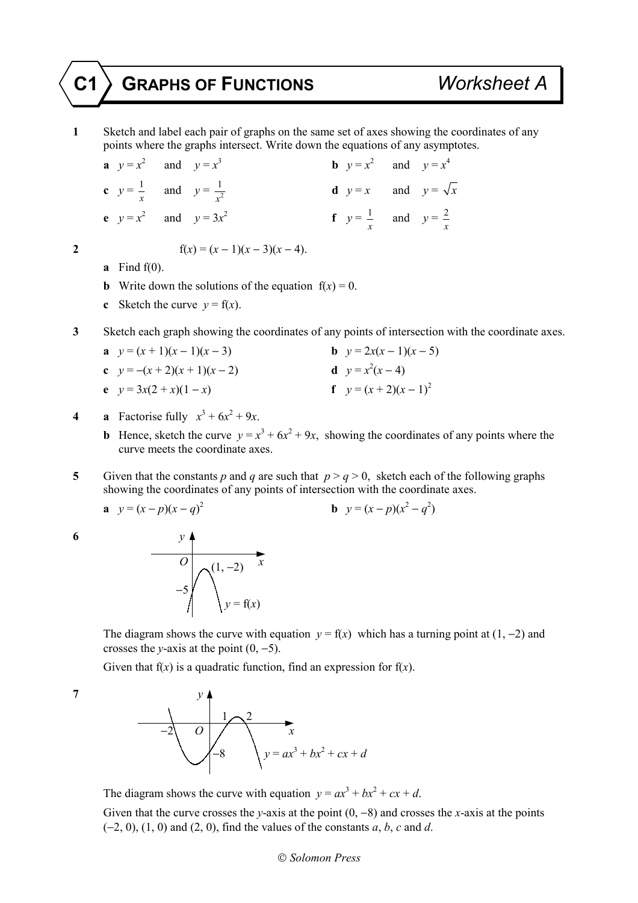## **C1 GRAPHS OF FUNCTIONS** *Worksheet A*

**1** Sketch and label each pair of graphs on the same set of axes showing the coordinates of any points where the graphs intersect. Write down the equations of any asymptotes.

**a**  $y = x^2$  and  $y = x^3$ **b**  $y = x^2$  and  $y = x^4$ **c**  $y = \frac{1}{2}$  $\frac{1}{x}$  and  $y = \frac{1}{x^2}$ **d**  $y = x$  and  $y = \sqrt{x}$ **e**  $y = x^2$  and  $y = 3x^2$ **f**  $y = \frac{1}{2}$  $\frac{1}{x}$  and  $y = \frac{2}{x}$ *x*

## **2**  $f(x) = (x - 1)(x - 3)(x - 4).$

- **a** Find f(0).
- **b** Write down the solutions of the equation  $f(x) = 0$ .
- **c** Sketch the curve  $v = f(x)$ .
- **3** Sketch each graph showing the coordinates of any points of intersection with the coordinate axes.
	- **a**  $y = (x + 1)(x 1)(x 3)$  **b**  $y = 2x(x 1)(x 5)$ **c**  $y = -(x + 2)(x + 1)(x - 2)$  $^{2}(x-4)$ **e**  $y = 3x(2 + x)(1 - x)$  **f**  $y = (x + 2)(x - 1)^2$
- **4 a** Factorise fully  $x^3 + 6x^2 + 9x$ .
	- **b** Hence, sketch the curve  $y = x^3 + 6x^2 + 9x$ , showing the coordinates of any points where the curve meets the coordinate axes.
- **5** Given that the constants *p* and *q* are such that  $p > q > 0$ , sketch each of the following graphs showing the coordinates of any points of intersection with the coordinate axes.

**a**  $y = (x - p)(x - q)^2$ **b**  $y = (x - p)(x^2 - q^2)$ 



The diagram shows the curve with equation  $y = f(x)$  which has a turning point at (1, -2) and crosses the *y*-axis at the point  $(0, -5)$ .

Given that  $f(x)$  is a quadratic function, find an expression for  $f(x)$ .



The diagram shows the curve with equation  $y = ax^3 + bx^2 + cx + d$ .

 Given that the curve crosses the *y*-axis at the point (0, −8) and crosses the *x*-axis at the points (−2, 0), (1, 0) and (2, 0), find the values of the constants *a*, *b*, *c* and *d*.